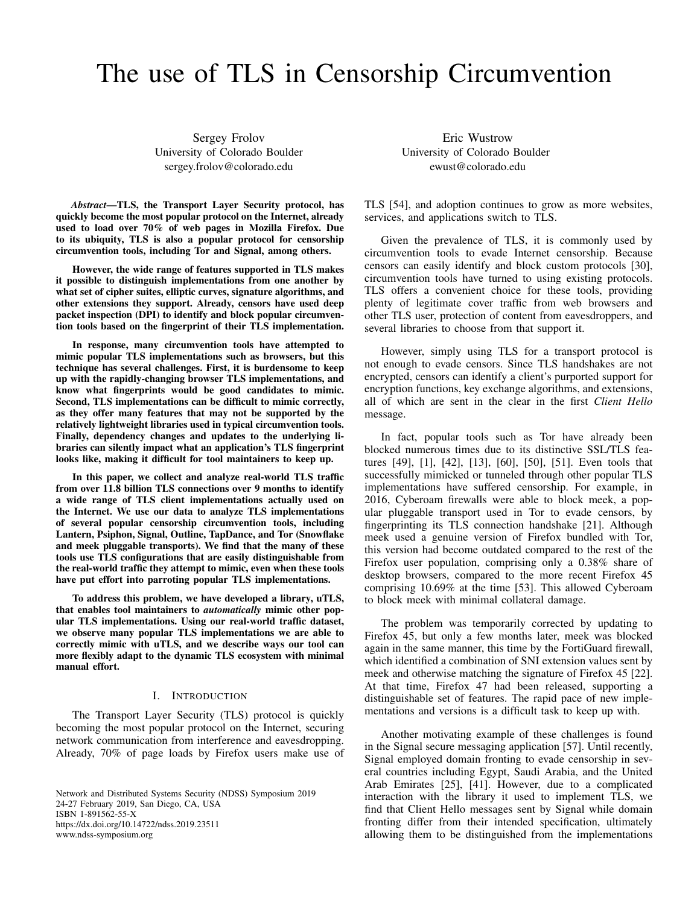# The use of TLS in Censorship Circumvention

Sergey Frolov University of Colorado Boulder sergey.frolov@colorado.edu

*Abstract*—TLS, the Transport Layer Security protocol, has quickly become the most popular protocol on the Internet, already used to load over 70% of web pages in Mozilla Firefox. Due to its ubiquity, TLS is also a popular protocol for censorship circumvention tools, including Tor and Signal, among others.

However, the wide range of features supported in TLS makes it possible to distinguish implementations from one another by what set of cipher suites, elliptic curves, signature algorithms, and other extensions they support. Already, censors have used deep packet inspection (DPI) to identify and block popular circumvention tools based on the fingerprint of their TLS implementation.

In response, many circumvention tools have attempted to mimic popular TLS implementations such as browsers, but this technique has several challenges. First, it is burdensome to keep up with the rapidly-changing browser TLS implementations, and know what fingerprints would be good candidates to mimic. Second, TLS implementations can be difficult to mimic correctly, as they offer many features that may not be supported by the relatively lightweight libraries used in typical circumvention tools. Finally, dependency changes and updates to the underlying libraries can silently impact what an application's TLS fingerprint looks like, making it difficult for tool maintainers to keep up.

In this paper, we collect and analyze real-world TLS traffic from over 11.8 billion TLS connections over 9 months to identify a wide range of TLS client implementations actually used on the Internet. We use our data to analyze TLS implementations of several popular censorship circumvention tools, including Lantern, Psiphon, Signal, Outline, TapDance, and Tor (Snowflake and meek pluggable transports). We find that the many of these tools use TLS configurations that are easily distinguishable from the real-world traffic they attempt to mimic, even when these tools have put effort into parroting popular TLS implementations.

To address this problem, we have developed a library, uTLS, that enables tool maintainers to *automatically* mimic other popular TLS implementations. Using our real-world traffic dataset, we observe many popular TLS implementations we are able to correctly mimic with uTLS, and we describe ways our tool can more flexibly adapt to the dynamic TLS ecosystem with minimal manual effort.

## I. INTRODUCTION

The Transport Layer Security (TLS) protocol is quickly becoming the most popular protocol on the Internet, securing network communication from interference and eavesdropping. Already, 70% of page loads by Firefox users make use of

Network and Distributed Systems Security (NDSS) Symposium 2019 24-27 February 2019, San Diego, CA, USA ISBN 1-891562-55-X https://dx.doi.org/10.14722/ndss.2019.23511 www.ndss-symposium.org

Eric Wustrow University of Colorado Boulder ewust@colorado.edu

TLS [54], and adoption continues to grow as more websites, services, and applications switch to TLS.

Given the prevalence of TLS, it is commonly used by circumvention tools to evade Internet censorship. Because censors can easily identify and block custom protocols [30], circumvention tools have turned to using existing protocols. TLS offers a convenient choice for these tools, providing plenty of legitimate cover traffic from web browsers and other TLS user, protection of content from eavesdroppers, and several libraries to choose from that support it.

However, simply using TLS for a transport protocol is not enough to evade censors. Since TLS handshakes are not encrypted, censors can identify a client's purported support for encryption functions, key exchange algorithms, and extensions, all of which are sent in the clear in the first *Client Hello* message.

In fact, popular tools such as Tor have already been blocked numerous times due to its distinctive SSL/TLS features [49], [1], [42], [13], [60], [50], [51]. Even tools that successfully mimicked or tunneled through other popular TLS implementations have suffered censorship. For example, in 2016, Cyberoam firewalls were able to block meek, a popular pluggable transport used in Tor to evade censors, by fingerprinting its TLS connection handshake [21]. Although meek used a genuine version of Firefox bundled with Tor, this version had become outdated compared to the rest of the Firefox user population, comprising only a 0.38% share of desktop browsers, compared to the more recent Firefox 45 comprising 10.69% at the time [53]. This allowed Cyberoam to block meek with minimal collateral damage.

The problem was temporarily corrected by updating to Firefox 45, but only a few months later, meek was blocked again in the same manner, this time by the FortiGuard firewall, which identified a combination of SNI extension values sent by meek and otherwise matching the signature of Firefox 45 [22]. At that time, Firefox 47 had been released, supporting a distinguishable set of features. The rapid pace of new implementations and versions is a difficult task to keep up with.

Another motivating example of these challenges is found in the Signal secure messaging application [57]. Until recently, Signal employed domain fronting to evade censorship in several countries including Egypt, Saudi Arabia, and the United Arab Emirates [25], [41]. However, due to a complicated interaction with the library it used to implement TLS, we find that Client Hello messages sent by Signal while domain fronting differ from their intended specification, ultimately allowing them to be distinguished from the implementations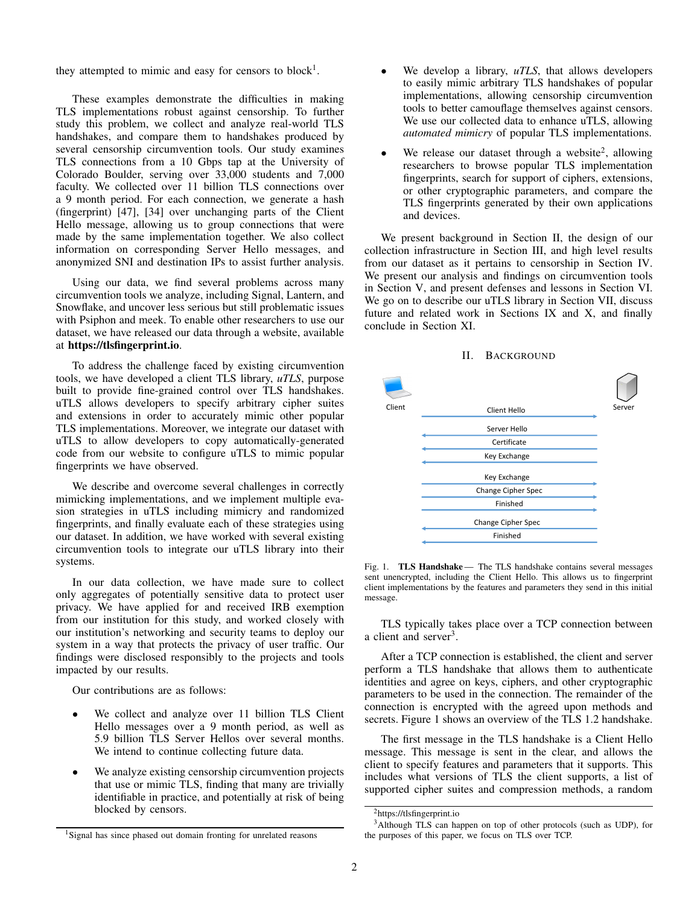they attempted to mimic and easy for censors to block<sup>1</sup>.

These examples demonstrate the difficulties in making TLS implementations robust against censorship. To further study this problem, we collect and analyze real-world TLS handshakes, and compare them to handshakes produced by several censorship circumvention tools. Our study examines TLS connections from a 10 Gbps tap at the University of Colorado Boulder, serving over 33,000 students and 7,000 faculty. We collected over 11 billion TLS connections over a 9 month period. For each connection, we generate a hash (fingerprint) [47], [34] over unchanging parts of the Client Hello message, allowing us to group connections that were made by the same implementation together. We also collect information on corresponding Server Hello messages, and anonymized SNI and destination IPs to assist further analysis.

Using our data, we find several problems across many circumvention tools we analyze, including Signal, Lantern, and Snowflake, and uncover less serious but still problematic issues with Psiphon and meek. To enable other researchers to use our dataset, we have released our data through a website, available at https://tlsfingerprint.io.

To address the challenge faced by existing circumvention tools, we have developed a client TLS library, *uTLS*, purpose built to provide fine-grained control over TLS handshakes. uTLS allows developers to specify arbitrary cipher suites and extensions in order to accurately mimic other popular TLS implementations. Moreover, we integrate our dataset with uTLS to allow developers to copy automatically-generated code from our website to configure uTLS to mimic popular fingerprints we have observed.

We describe and overcome several challenges in correctly mimicking implementations, and we implement multiple evasion strategies in uTLS including mimicry and randomized fingerprints, and finally evaluate each of these strategies using our dataset. In addition, we have worked with several existing circumvention tools to integrate our uTLS library into their systems.

In our data collection, we have made sure to collect only aggregates of potentially sensitive data to protect user privacy. We have applied for and received IRB exemption from our institution for this study, and worked closely with our institution's networking and security teams to deploy our system in a way that protects the privacy of user traffic. Our findings were disclosed responsibly to the projects and tools impacted by our results.

Our contributions are as follows:

- We collect and analyze over 11 billion TLS Client Hello messages over a 9 month period, as well as 5.9 billion TLS Server Hellos over several months. We intend to continue collecting future data.
- We analyze existing censorship circumvention projects that use or mimic TLS, finding that many are trivially identifiable in practice, and potentially at risk of being blocked by censors.
- We develop a library, *uTLS*, that allows developers to easily mimic arbitrary TLS handshakes of popular implementations, allowing censorship circumvention tools to better camouflage themselves against censors. We use our collected data to enhance uTLS, allowing *automated mimicry* of popular TLS implementations.
- We release our dataset through a website<sup>2</sup>, allowing researchers to browse popular TLS implementation fingerprints, search for support of ciphers, extensions, or other cryptographic parameters, and compare the TLS fingerprints generated by their own applications and devices.

We present background in Section II, the design of our collection infrastructure in Section III, and high level results from our dataset as it pertains to censorship in Section IV. We present our analysis and findings on circumvention tools in Section V, and present defenses and lessons in Section VI. We go on to describe our uTLS library in Section VII, discuss future and related work in Sections IX and X, and finally conclude in Section XI.





Fig. 1. TLS Handshake - The TLS handshake contains several messages sent unencrypted, including the Client Hello. This allows us to fingerprint client implementations by the features and parameters they send in this initial message.

TLS typically takes place over a TCP connection between a client and server<sup>3</sup>.

After a TCP connection is established, the client and server perform a TLS handshake that allows them to authenticate identities and agree on keys, ciphers, and other cryptographic parameters to be used in the connection. The remainder of the connection is encrypted with the agreed upon methods and secrets. Figure 1 shows an overview of the TLS 1.2 handshake.

The first message in the TLS handshake is a Client Hello message. This message is sent in the clear, and allows the client to specify features and parameters that it supports. This includes what versions of TLS the client supports, a list of supported cipher suites and compression methods, a random

<sup>2</sup>https://tlsfingerprint.io

<sup>&</sup>lt;sup>1</sup>Signal has since phased out domain fronting for unrelated reasons

<sup>3</sup>Although TLS can happen on top of other protocols (such as UDP), for the purposes of this paper, we focus on TLS over TCP.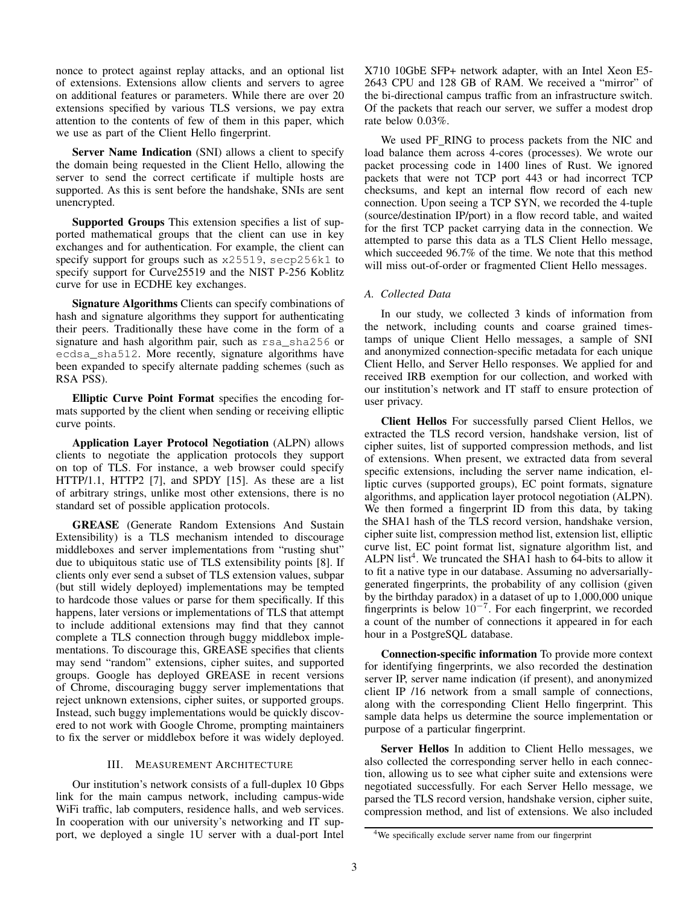nonce to protect against replay attacks, and an optional list of extensions. Extensions allow clients and servers to agree on additional features or parameters. While there are over 20 extensions specified by various TLS versions, we pay extra attention to the contents of few of them in this paper, which we use as part of the Client Hello fingerprint.

Server Name Indication (SNI) allows a client to specify the domain being requested in the Client Hello, allowing the server to send the correct certificate if multiple hosts are supported. As this is sent before the handshake, SNIs are sent unencrypted.

Supported Groups This extension specifies a list of supported mathematical groups that the client can use in key exchanges and for authentication. For example, the client can specify support for groups such as x25519, secp256k1 to specify support for Curve25519 and the NIST P-256 Koblitz curve for use in ECDHE key exchanges.

Signature Algorithms Clients can specify combinations of hash and signature algorithms they support for authenticating their peers. Traditionally these have come in the form of a signature and hash algorithm pair, such as rsa\_sha256 or ecdsa\_sha512. More recently, signature algorithms have been expanded to specify alternate padding schemes (such as RSA PSS).

Elliptic Curve Point Format specifies the encoding formats supported by the client when sending or receiving elliptic curve points.

Application Layer Protocol Negotiation (ALPN) allows clients to negotiate the application protocols they support on top of TLS. For instance, a web browser could specify HTTP/1.1, HTTP2 [7], and SPDY [15]. As these are a list of arbitrary strings, unlike most other extensions, there is no standard set of possible application protocols.

GREASE (Generate Random Extensions And Sustain Extensibility) is a TLS mechanism intended to discourage middleboxes and server implementations from "rusting shut" due to ubiquitous static use of TLS extensibility points [8]. If clients only ever send a subset of TLS extension values, subpar (but still widely deployed) implementations may be tempted to hardcode those values or parse for them specifically. If this happens, later versions or implementations of TLS that attempt to include additional extensions may find that they cannot complete a TLS connection through buggy middlebox implementations. To discourage this, GREASE specifies that clients may send "random" extensions, cipher suites, and supported groups. Google has deployed GREASE in recent versions of Chrome, discouraging buggy server implementations that reject unknown extensions, cipher suites, or supported groups. Instead, such buggy implementations would be quickly discovered to not work with Google Chrome, prompting maintainers to fix the server or middlebox before it was widely deployed.

## III. MEASUREMENT ARCHITECTURE

Our institution's network consists of a full-duplex 10 Gbps link for the main campus network, including campus-wide WiFi traffic, lab computers, residence halls, and web services. In cooperation with our university's networking and IT support, we deployed a single 1U server with a dual-port Intel X710 10GbE SFP+ network adapter, with an Intel Xeon E5- 2643 CPU and 128 GB of RAM. We received a "mirror" of the bi-directional campus traffic from an infrastructure switch. Of the packets that reach our server, we suffer a modest drop rate below 0.03%.

We used PF\_RING to process packets from the NIC and load balance them across 4-cores (processes). We wrote our packet processing code in 1400 lines of Rust. We ignored packets that were not TCP port 443 or had incorrect TCP checksums, and kept an internal flow record of each new connection. Upon seeing a TCP SYN, we recorded the 4-tuple (source/destination IP/port) in a flow record table, and waited for the first TCP packet carrying data in the connection. We attempted to parse this data as a TLS Client Hello message, which succeeded 96.7% of the time. We note that this method will miss out-of-order or fragmented Client Hello messages.

## *A. Collected Data*

In our study, we collected 3 kinds of information from the network, including counts and coarse grained timestamps of unique Client Hello messages, a sample of SNI and anonymized connection-specific metadata for each unique Client Hello, and Server Hello responses. We applied for and received IRB exemption for our collection, and worked with our institution's network and IT staff to ensure protection of user privacy.

Client Hellos For successfully parsed Client Hellos, we extracted the TLS record version, handshake version, list of cipher suites, list of supported compression methods, and list of extensions. When present, we extracted data from several specific extensions, including the server name indication, elliptic curves (supported groups), EC point formats, signature algorithms, and application layer protocol negotiation (ALPN). We then formed a fingerprint ID from this data, by taking the SHA1 hash of the TLS record version, handshake version, cipher suite list, compression method list, extension list, elliptic curve list, EC point format list, signature algorithm list, and ALPN list<sup>4</sup>. We truncated the SHA1 hash to  $64$ -bits to allow it to fit a native type in our database. Assuming no adversariallygenerated fingerprints, the probability of any collision (given by the birthday paradox) in a dataset of up to 1,000,000 unique fingerprints is below  $10^{-7}$ . For each fingerprint, we recorded a count of the number of connections it appeared in for each hour in a PostgreSQL database.

Connection-specific information To provide more context for identifying fingerprints, we also recorded the destination server IP, server name indication (if present), and anonymized client IP /16 network from a small sample of connections, along with the corresponding Client Hello fingerprint. This sample data helps us determine the source implementation or purpose of a particular fingerprint.

Server Hellos In addition to Client Hello messages, we also collected the corresponding server hello in each connection, allowing us to see what cipher suite and extensions were negotiated successfully. For each Server Hello message, we parsed the TLS record version, handshake version, cipher suite, compression method, and list of extensions. We also included

<sup>4</sup>We specifically exclude server name from our fingerprint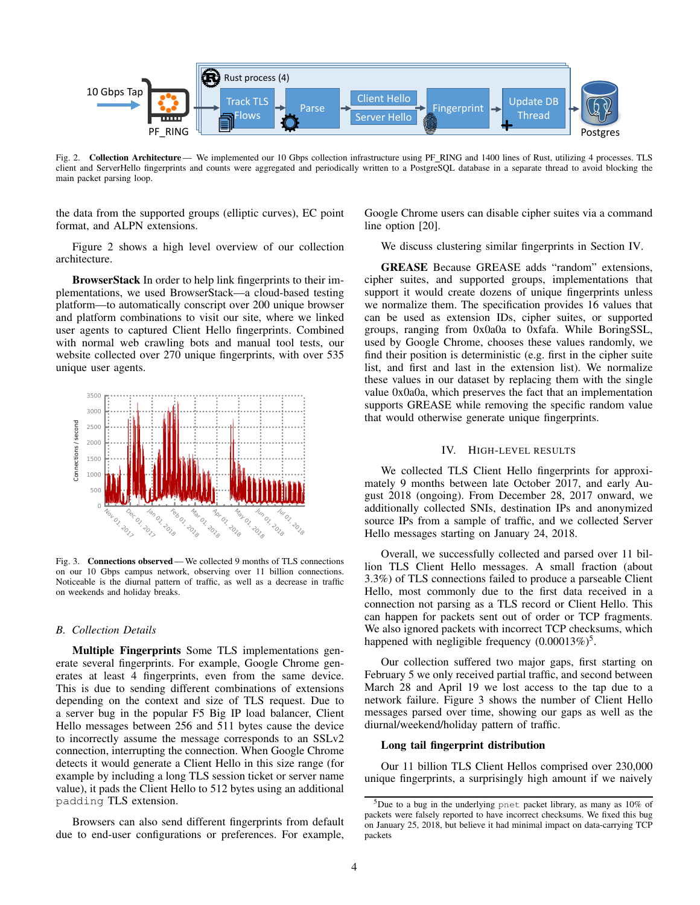

Fig. 2. Collection Architecture— We implemented our 10 Gbps collection infrastructure using PF\_RING and 1400 lines of Rust, utilizing 4 processes. TLS client and ServerHello fingerprints and counts were aggregated and periodically written to a PostgreSQL database in a separate thread to avoid blocking the main packet parsing loop.

the data from the supported groups (elliptic curves), EC point format, and ALPN extensions.

Figure 2 shows a high level overview of our collection architecture.

BrowserStack In order to help link fingerprints to their implementations, we used BrowserStack—a cloud-based testing platform—to automatically conscript over 200 unique browser and platform combinations to visit our site, where we linked user agents to captured Client Hello fingerprints. Combined with normal web crawling bots and manual tool tests, our website collected over 270 unique fingerprints, with over 535 unique user agents.



Fig. 3. Connections observed— We collected 9 months of TLS connections on our 10 Gbps campus network, observing over 11 billion connections. Noticeable is the diurnal pattern of traffic, as well as a decrease in traffic on weekends and holiday breaks.

#### *B. Collection Details*

Multiple Fingerprints Some TLS implementations generate several fingerprints. For example, Google Chrome generates at least 4 fingerprints, even from the same device. This is due to sending different combinations of extensions depending on the context and size of TLS request. Due to a server bug in the popular F5 Big IP load balancer, Client Hello messages between 256 and 511 bytes cause the device to incorrectly assume the message corresponds to an SSLv2 connection, interrupting the connection. When Google Chrome detects it would generate a Client Hello in this size range (for example by including a long TLS session ticket or server name value), it pads the Client Hello to 512 bytes using an additional padding TLS extension.

Browsers can also send different fingerprints from default due to end-user configurations or preferences. For example,

Google Chrome users can disable cipher suites via a command line option [20].

We discuss clustering similar fingerprints in Section IV.

GREASE Because GREASE adds "random" extensions, cipher suites, and supported groups, implementations that support it would create dozens of unique fingerprints unless we normalize them. The specification provides 16 values that can be used as extension IDs, cipher suites, or supported groups, ranging from 0x0a0a to 0xfafa. While BoringSSL, used by Google Chrome, chooses these values randomly, we find their position is deterministic (e.g. first in the cipher suite list, and first and last in the extension list). We normalize these values in our dataset by replacing them with the single value 0x0a0a, which preserves the fact that an implementation supports GREASE while removing the specific random value that would otherwise generate unique fingerprints.

## IV. HIGH-LEVEL RESULTS

We collected TLS Client Hello fingerprints for approximately 9 months between late October 2017, and early August 2018 (ongoing). From December 28, 2017 onward, we additionally collected SNIs, destination IPs and anonymized source IPs from a sample of traffic, and we collected Server Hello messages starting on January 24, 2018.

Overall, we successfully collected and parsed over 11 billion TLS Client Hello messages. A small fraction (about 3.3%) of TLS connections failed to produce a parseable Client Hello, most commonly due to the first data received in a connection not parsing as a TLS record or Client Hello. This can happen for packets sent out of order or TCP fragments. We also ignored packets with incorrect TCP checksums, which happened with negligible frequency  $(0.00013\%)^5$ .

Our collection suffered two major gaps, first starting on February 5 we only received partial traffic, and second between March 28 and April 19 we lost access to the tap due to a network failure. Figure 3 shows the number of Client Hello messages parsed over time, showing our gaps as well as the diurnal/weekend/holiday pattern of traffic.

#### Long tail fingerprint distribution

Our 11 billion TLS Client Hellos comprised over 230,000 unique fingerprints, a surprisingly high amount if we naively

<sup>5</sup>Due to a bug in the underlying pnet packet library, as many as 10% of packets were falsely reported to have incorrect checksums. We fixed this bug on January 25, 2018, but believe it had minimal impact on data-carrying TCP packets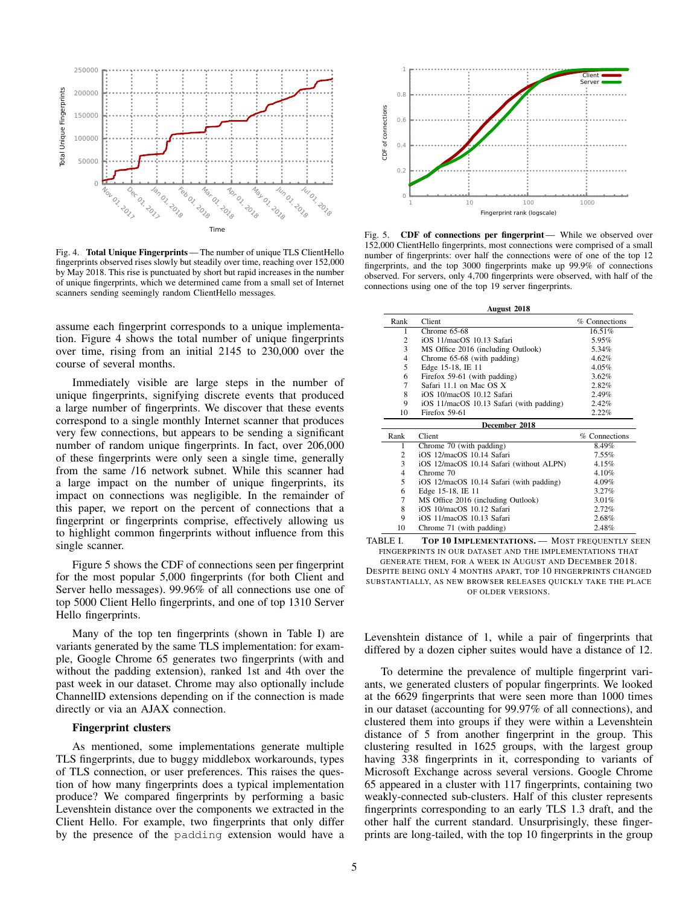

Fig. 4. Total Unique Fingerprints — The number of unique TLS ClientHello fingerprints observed rises slowly but steadily over time, reaching over 152,000 by May 2018. This rise is punctuated by short but rapid increases in the number of unique fingerprints, which we determined came from a small set of Internet scanners sending seemingly random ClientHello messages.

assume each fingerprint corresponds to a unique implementation. Figure 4 shows the total number of unique fingerprints over time, rising from an initial 2145 to 230,000 over the course of several months.

Immediately visible are large steps in the number of unique fingerprints, signifying discrete events that produced a large number of fingerprints. We discover that these events correspond to a single monthly Internet scanner that produces very few connections, but appears to be sending a significant number of random unique fingerprints. In fact, over 206,000 of these fingerprints were only seen a single time, generally from the same /16 network subnet. While this scanner had a large impact on the number of unique fingerprints, its impact on connections was negligible. In the remainder of this paper, we report on the percent of connections that a fingerprint or fingerprints comprise, effectively allowing us to highlight common fingerprints without influence from this single scanner.

Figure 5 shows the CDF of connections seen per fingerprint for the most popular 5,000 fingerprints (for both Client and Server hello messages). 99.96% of all connections use one of top 5000 Client Hello fingerprints, and one of top 1310 Server Hello fingerprints.

Many of the top ten fingerprints (shown in Table I) are variants generated by the same TLS implementation: for example, Google Chrome 65 generates two fingerprints (with and without the padding extension), ranked 1st and 4th over the past week in our dataset. Chrome may also optionally include ChannelID extensions depending on if the connection is made directly or via an AJAX connection.

## Fingerprint clusters

As mentioned, some implementations generate multiple TLS fingerprints, due to buggy middlebox workarounds, types of TLS connection, or user preferences. This raises the question of how many fingerprints does a typical implementation produce? We compared fingerprints by performing a basic Levenshtein distance over the components we extracted in the Client Hello. For example, two fingerprints that only differ by the presence of the padding extension would have a



Fig. 5. CDF of connections per fingerprint — While we observed over 152,000 ClientHello fingerprints, most connections were comprised of a small number of fingerprints: over half the connections were of one of the top 12 fingerprints, and the top 3000 fingerprints make up 99.9% of connections observed. For servers, only 4,700 fingerprints were observed, with half of the connections using one of the top 19 server fingerprints.

| August 2018    |                                          |               |  |
|----------------|------------------------------------------|---------------|--|
| Rank           | Client                                   | % Connections |  |
| 1              | Chrome $65-68$                           | 16.51%        |  |
| 2              | iOS 11/macOS 10.13 Safari                | 5.95%         |  |
| 3              | MS Office 2016 (including Outlook)       | 5.34%         |  |
| $\overline{4}$ | Chrome 65-68 (with padding)              | 4.62%         |  |
| 5              | Edge 15-18, IE 11                        | $4.05\%$      |  |
| 6              | Firefox 59-61 (with padding)             | 3.62%         |  |
| 7              | Safari 11.1 on Mac OS X                  | 2.82%         |  |
| 8              | iOS 10/macOS 10.12 Safari                | 2.49%         |  |
| 9              | iOS 11/macOS 10.13 Safari (with padding) | 2.42%         |  |
| 10             | Firefox 59-61                            | 2.22%         |  |
|                | December 2018                            |               |  |
| Rank           | Client                                   | % Connections |  |
| 1              | Chrome 70 (with padding)                 | 8.49%         |  |
| 2              | iOS 12/macOS 10.14 Safari                | $7.55\%$      |  |
| 3              | iOS 12/macOS 10.14 Safari (without ALPN) | 4.15%         |  |
| $\overline{4}$ | Chrome 70                                | 4.10%         |  |
| 5              | iOS 12/macOS 10.14 Safari (with padding) | 4.09%         |  |
| 6              | Edge 15-18, IE 11                        | 3.27%         |  |
| 7              | MS Office 2016 (including Outlook)       | 3.01%         |  |
| 8              | iOS 10/macOS 10.12 Safari                | 2.72%         |  |
| 9              | iOS 11/macOS 10.13 Safari                | 2.68%         |  |
| 10             | Chrome 71 (with padding)                 | 2.48%         |  |

TABLE I. TOP 10 IMPLEMENTATIONS. - MOST FREQUENTLY SEEN FINGERPRINTS IN OUR DATASET AND THE IMPLEMENTATIONS THAT GENERATE THEM, FOR A WEEK IN AUGUST AND DECEMBER 2018. DESPITE BEING ONLY 4 MONTHS APART, TOP 10 FINGERPRINTS CHANGED SUBSTANTIALLY, AS NEW BROWSER RELEASES QUICKLY TAKE THE PLACE OF OLDER VERSIONS.

Levenshtein distance of 1, while a pair of fingerprints that differed by a dozen cipher suites would have a distance of 12.

To determine the prevalence of multiple fingerprint variants, we generated clusters of popular fingerprints. We looked at the 6629 fingerprints that were seen more than 1000 times in our dataset (accounting for 99.97% of all connections), and clustered them into groups if they were within a Levenshtein distance of 5 from another fingerprint in the group. This clustering resulted in 1625 groups, with the largest group having 338 fingerprints in it, corresponding to variants of Microsoft Exchange across several versions. Google Chrome 65 appeared in a cluster with 117 fingerprints, containing two weakly-connected sub-clusters. Half of this cluster represents fingerprints corresponding to an early TLS 1.3 draft, and the other half the current standard. Unsurprisingly, these fingerprints are long-tailed, with the top 10 fingerprints in the group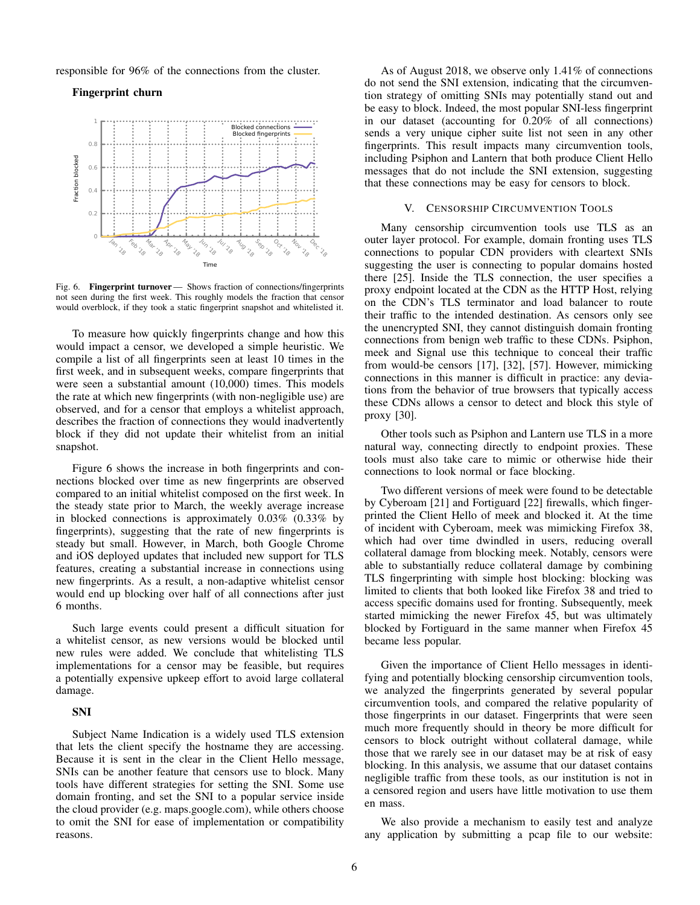responsible for 96% of the connections from the cluster.

Fingerprint churn



Fig. 6. **Fingerprint turnover** — Shows fraction of connections/fingerprints not seen during the first week. This roughly models the fraction that censor would overblock, if they took a static fingerprint snapshot and whitelisted it.

To measure how quickly fingerprints change and how this would impact a censor, we developed a simple heuristic. We compile a list of all fingerprints seen at least 10 times in the first week, and in subsequent weeks, compare fingerprints that were seen a substantial amount (10,000) times. This models the rate at which new fingerprints (with non-negligible use) are observed, and for a censor that employs a whitelist approach, describes the fraction of connections they would inadvertently block if they did not update their whitelist from an initial snapshot.

Figure 6 shows the increase in both fingerprints and connections blocked over time as new fingerprints are observed compared to an initial whitelist composed on the first week. In the steady state prior to March, the weekly average increase in blocked connections is approximately 0.03% (0.33% by fingerprints), suggesting that the rate of new fingerprints is steady but small. However, in March, both Google Chrome and iOS deployed updates that included new support for TLS features, creating a substantial increase in connections using new fingerprints. As a result, a non-adaptive whitelist censor would end up blocking over half of all connections after just 6 months.

Such large events could present a difficult situation for a whitelist censor, as new versions would be blocked until new rules were added. We conclude that whitelisting TLS implementations for a censor may be feasible, but requires a potentially expensive upkeep effort to avoid large collateral damage.

## SNI

Subject Name Indication is a widely used TLS extension that lets the client specify the hostname they are accessing. Because it is sent in the clear in the Client Hello message, SNIs can be another feature that censors use to block. Many tools have different strategies for setting the SNI. Some use domain fronting, and set the SNI to a popular service inside the cloud provider (e.g. maps.google.com), while others choose to omit the SNI for ease of implementation or compatibility reasons.

As of August 2018, we observe only 1.41% of connections do not send the SNI extension, indicating that the circumvention strategy of omitting SNIs may potentially stand out and be easy to block. Indeed, the most popular SNI-less fingerprint in our dataset (accounting for 0.20% of all connections) sends a very unique cipher suite list not seen in any other fingerprints. This result impacts many circumvention tools, including Psiphon and Lantern that both produce Client Hello messages that do not include the SNI extension, suggesting that these connections may be easy for censors to block.

#### V. CENSORSHIP CIRCUMVENTION TOOLS

Many censorship circumvention tools use TLS as an outer layer protocol. For example, domain fronting uses TLS connections to popular CDN providers with cleartext SNIs suggesting the user is connecting to popular domains hosted there [25]. Inside the TLS connection, the user specifies a proxy endpoint located at the CDN as the HTTP Host, relying on the CDN's TLS terminator and load balancer to route their traffic to the intended destination. As censors only see the unencrypted SNI, they cannot distinguish domain fronting connections from benign web traffic to these CDNs. Psiphon, meek and Signal use this technique to conceal their traffic from would-be censors [17], [32], [57]. However, mimicking connections in this manner is difficult in practice: any deviations from the behavior of true browsers that typically access these CDNs allows a censor to detect and block this style of proxy [30].

Other tools such as Psiphon and Lantern use TLS in a more natural way, connecting directly to endpoint proxies. These tools must also take care to mimic or otherwise hide their connections to look normal or face blocking.

Two different versions of meek were found to be detectable by Cyberoam [21] and Fortiguard [22] firewalls, which fingerprinted the Client Hello of meek and blocked it. At the time of incident with Cyberoam, meek was mimicking Firefox 38, which had over time dwindled in users, reducing overall collateral damage from blocking meek. Notably, censors were able to substantially reduce collateral damage by combining TLS fingerprinting with simple host blocking: blocking was limited to clients that both looked like Firefox 38 and tried to access specific domains used for fronting. Subsequently, meek started mimicking the newer Firefox 45, but was ultimately blocked by Fortiguard in the same manner when Firefox 45 became less popular.

Given the importance of Client Hello messages in identifying and potentially blocking censorship circumvention tools, we analyzed the fingerprints generated by several popular circumvention tools, and compared the relative popularity of those fingerprints in our dataset. Fingerprints that were seen much more frequently should in theory be more difficult for censors to block outright without collateral damage, while those that we rarely see in our dataset may be at risk of easy blocking. In this analysis, we assume that our dataset contains negligible traffic from these tools, as our institution is not in a censored region and users have little motivation to use them en mass.

We also provide a mechanism to easily test and analyze any application by submitting a pcap file to our website: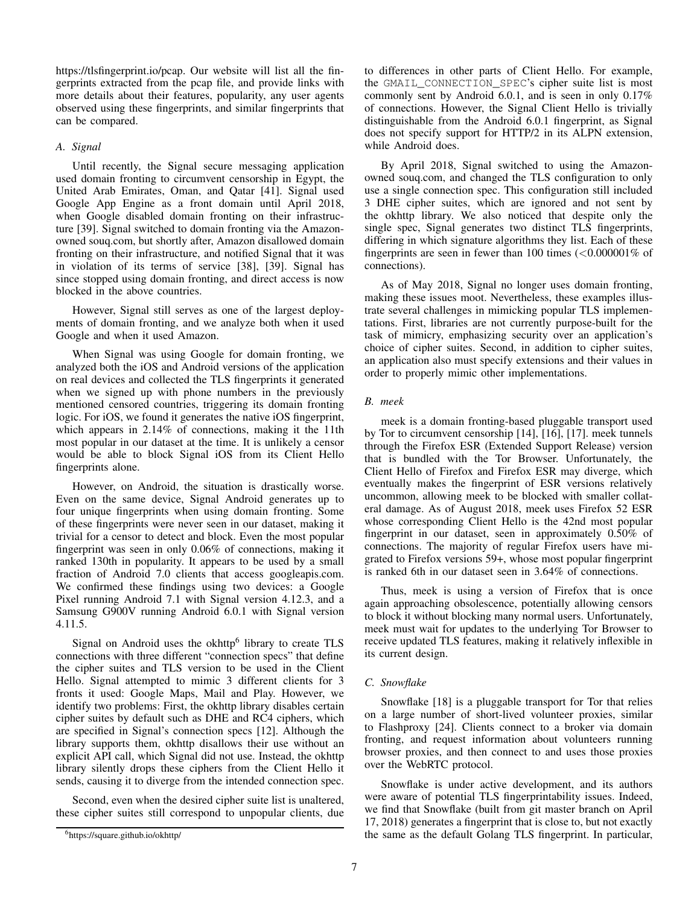https://tlsfingerprint.io/pcap. Our website will list all the fingerprints extracted from the pcap file, and provide links with more details about their features, popularity, any user agents observed using these fingerprints, and similar fingerprints that can be compared.

# *A. Signal*

Until recently, the Signal secure messaging application used domain fronting to circumvent censorship in Egypt, the United Arab Emirates, Oman, and Qatar [41]. Signal used Google App Engine as a front domain until April 2018, when Google disabled domain fronting on their infrastructure [39]. Signal switched to domain fronting via the Amazonowned souq.com, but shortly after, Amazon disallowed domain fronting on their infrastructure, and notified Signal that it was in violation of its terms of service [38], [39]. Signal has since stopped using domain fronting, and direct access is now blocked in the above countries.

However, Signal still serves as one of the largest deployments of domain fronting, and we analyze both when it used Google and when it used Amazon.

When Signal was using Google for domain fronting, we analyzed both the iOS and Android versions of the application on real devices and collected the TLS fingerprints it generated when we signed up with phone numbers in the previously mentioned censored countries, triggering its domain fronting logic. For iOS, we found it generates the native iOS fingerprint, which appears in 2.14% of connections, making it the 11th most popular in our dataset at the time. It is unlikely a censor would be able to block Signal iOS from its Client Hello fingerprints alone.

However, on Android, the situation is drastically worse. Even on the same device, Signal Android generates up to four unique fingerprints when using domain fronting. Some of these fingerprints were never seen in our dataset, making it trivial for a censor to detect and block. Even the most popular fingerprint was seen in only 0.06% of connections, making it ranked 130th in popularity. It appears to be used by a small fraction of Android 7.0 clients that access googleapis.com. We confirmed these findings using two devices: a Google Pixel running Android 7.1 with Signal version 4.12.3, and a Samsung G900V running Android 6.0.1 with Signal version 4.11.5.

Signal on Android uses the okhttp $<sup>6</sup>$  library to create TLS</sup> connections with three different "connection specs" that define the cipher suites and TLS version to be used in the Client Hello. Signal attempted to mimic 3 different clients for 3 fronts it used: Google Maps, Mail and Play. However, we identify two problems: First, the okhttp library disables certain cipher suites by default such as DHE and RC4 ciphers, which are specified in Signal's connection specs [12]. Although the library supports them, okhttp disallows their use without an explicit API call, which Signal did not use. Instead, the okhttp library silently drops these ciphers from the Client Hello it sends, causing it to diverge from the intended connection spec.

Second, even when the desired cipher suite list is unaltered, these cipher suites still correspond to unpopular clients, due to differences in other parts of Client Hello. For example, the GMAIL\_CONNECTION\_SPEC's cipher suite list is most commonly sent by Android 6.0.1, and is seen in only 0.17% of connections. However, the Signal Client Hello is trivially distinguishable from the Android 6.0.1 fingerprint, as Signal does not specify support for HTTP/2 in its ALPN extension, while Android does.

By April 2018, Signal switched to using the Amazonowned souq.com, and changed the TLS configuration to only use a single connection spec. This configuration still included 3 DHE cipher suites, which are ignored and not sent by the okhttp library. We also noticed that despite only the single spec, Signal generates two distinct TLS fingerprints, differing in which signature algorithms they list. Each of these fingerprints are seen in fewer than 100 times  $\langle$  <0.000001\% of connections).

As of May 2018, Signal no longer uses domain fronting, making these issues moot. Nevertheless, these examples illustrate several challenges in mimicking popular TLS implementations. First, libraries are not currently purpose-built for the task of mimicry, emphasizing security over an application's choice of cipher suites. Second, in addition to cipher suites, an application also must specify extensions and their values in order to properly mimic other implementations.

## *B. meek*

meek is a domain fronting-based pluggable transport used by Tor to circumvent censorship [14], [16], [17]. meek tunnels through the Firefox ESR (Extended Support Release) version that is bundled with the Tor Browser. Unfortunately, the Client Hello of Firefox and Firefox ESR may diverge, which eventually makes the fingerprint of ESR versions relatively uncommon, allowing meek to be blocked with smaller collateral damage. As of August 2018, meek uses Firefox 52 ESR whose corresponding Client Hello is the 42nd most popular fingerprint in our dataset, seen in approximately 0.50% of connections. The majority of regular Firefox users have migrated to Firefox versions 59+, whose most popular fingerprint is ranked 6th in our dataset seen in 3.64% of connections.

Thus, meek is using a version of Firefox that is once again approaching obsolescence, potentially allowing censors to block it without blocking many normal users. Unfortunately, meek must wait for updates to the underlying Tor Browser to receive updated TLS features, making it relatively inflexible in its current design.

## *C. Snowflake*

Snowflake [18] is a pluggable transport for Tor that relies on a large number of short-lived volunteer proxies, similar to Flashproxy [24]. Clients connect to a broker via domain fronting, and request information about volunteers running browser proxies, and then connect to and uses those proxies over the WebRTC protocol.

Snowflake is under active development, and its authors were aware of potential TLS fingerprintability issues. Indeed, we find that Snowflake (built from git master branch on April 17, 2018) generates a fingerprint that is close to, but not exactly the same as the default Golang TLS fingerprint. In particular,

<sup>6</sup>https://square.github.io/okhttp/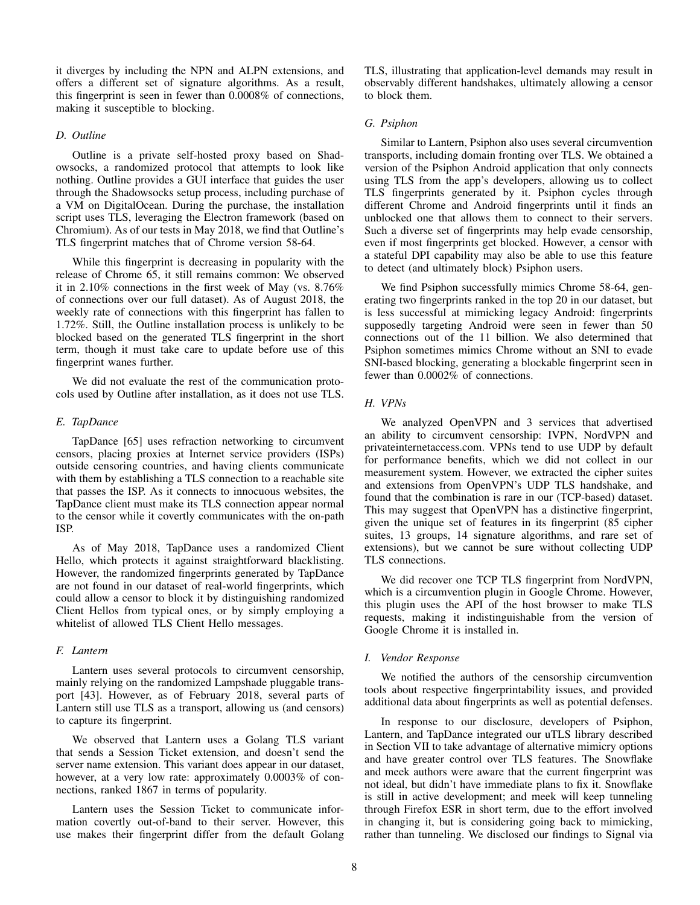it diverges by including the NPN and ALPN extensions, and offers a different set of signature algorithms. As a result, this fingerprint is seen in fewer than 0.0008% of connections, making it susceptible to blocking.

## *D. Outline*

Outline is a private self-hosted proxy based on Shadowsocks, a randomized protocol that attempts to look like nothing. Outline provides a GUI interface that guides the user through the Shadowsocks setup process, including purchase of a VM on DigitalOcean. During the purchase, the installation script uses TLS, leveraging the Electron framework (based on Chromium). As of our tests in May 2018, we find that Outline's TLS fingerprint matches that of Chrome version 58-64.

While this fingerprint is decreasing in popularity with the release of Chrome 65, it still remains common: We observed it in 2.10% connections in the first week of May (vs. 8.76% of connections over our full dataset). As of August 2018, the weekly rate of connections with this fingerprint has fallen to 1.72%. Still, the Outline installation process is unlikely to be blocked based on the generated TLS fingerprint in the short term, though it must take care to update before use of this fingerprint wanes further.

We did not evaluate the rest of the communication protocols used by Outline after installation, as it does not use TLS.

#### *E. TapDance*

TapDance [65] uses refraction networking to circumvent censors, placing proxies at Internet service providers (ISPs) outside censoring countries, and having clients communicate with them by establishing a TLS connection to a reachable site that passes the ISP. As it connects to innocuous websites, the TapDance client must make its TLS connection appear normal to the censor while it covertly communicates with the on-path ISP.

As of May 2018, TapDance uses a randomized Client Hello, which protects it against straightforward blacklisting. However, the randomized fingerprints generated by TapDance are not found in our dataset of real-world fingerprints, which could allow a censor to block it by distinguishing randomized Client Hellos from typical ones, or by simply employing a whitelist of allowed TLS Client Hello messages.

## *F. Lantern*

Lantern uses several protocols to circumvent censorship, mainly relying on the randomized Lampshade pluggable transport [43]. However, as of February 2018, several parts of Lantern still use TLS as a transport, allowing us (and censors) to capture its fingerprint.

We observed that Lantern uses a Golang TLS variant that sends a Session Ticket extension, and doesn't send the server name extension. This variant does appear in our dataset, however, at a very low rate: approximately  $0.0003\%$  of connections, ranked 1867 in terms of popularity.

Lantern uses the Session Ticket to communicate information covertly out-of-band to their server. However, this use makes their fingerprint differ from the default Golang TLS, illustrating that application-level demands may result in observably different handshakes, ultimately allowing a censor to block them.

#### *G. Psiphon*

Similar to Lantern, Psiphon also uses several circumvention transports, including domain fronting over TLS. We obtained a version of the Psiphon Android application that only connects using TLS from the app's developers, allowing us to collect TLS fingerprints generated by it. Psiphon cycles through different Chrome and Android fingerprints until it finds an unblocked one that allows them to connect to their servers. Such a diverse set of fingerprints may help evade censorship, even if most fingerprints get blocked. However, a censor with a stateful DPI capability may also be able to use this feature to detect (and ultimately block) Psiphon users.

We find Psiphon successfully mimics Chrome 58-64, generating two fingerprints ranked in the top 20 in our dataset, but is less successful at mimicking legacy Android: fingerprints supposedly targeting Android were seen in fewer than 50 connections out of the 11 billion. We also determined that Psiphon sometimes mimics Chrome without an SNI to evade SNI-based blocking, generating a blockable fingerprint seen in fewer than 0.0002% of connections.

#### *H. VPNs*

We analyzed OpenVPN and 3 services that advertised an ability to circumvent censorship: IVPN, NordVPN and privateinternetaccess.com. VPNs tend to use UDP by default for performance benefits, which we did not collect in our measurement system. However, we extracted the cipher suites and extensions from OpenVPN's UDP TLS handshake, and found that the combination is rare in our (TCP-based) dataset. This may suggest that OpenVPN has a distinctive fingerprint, given the unique set of features in its fingerprint (85 cipher suites, 13 groups, 14 signature algorithms, and rare set of extensions), but we cannot be sure without collecting UDP TLS connections.

We did recover one TCP TLS fingerprint from NordVPN, which is a circumvention plugin in Google Chrome. However, this plugin uses the API of the host browser to make TLS requests, making it indistinguishable from the version of Google Chrome it is installed in.

## *I. Vendor Response*

We notified the authors of the censorship circumvention tools about respective fingerprintability issues, and provided additional data about fingerprints as well as potential defenses.

In response to our disclosure, developers of Psiphon, Lantern, and TapDance integrated our uTLS library described in Section VII to take advantage of alternative mimicry options and have greater control over TLS features. The Snowflake and meek authors were aware that the current fingerprint was not ideal, but didn't have immediate plans to fix it. Snowflake is still in active development; and meek will keep tunneling through Firefox ESR in short term, due to the effort involved in changing it, but is considering going back to mimicking, rather than tunneling. We disclosed our findings to Signal via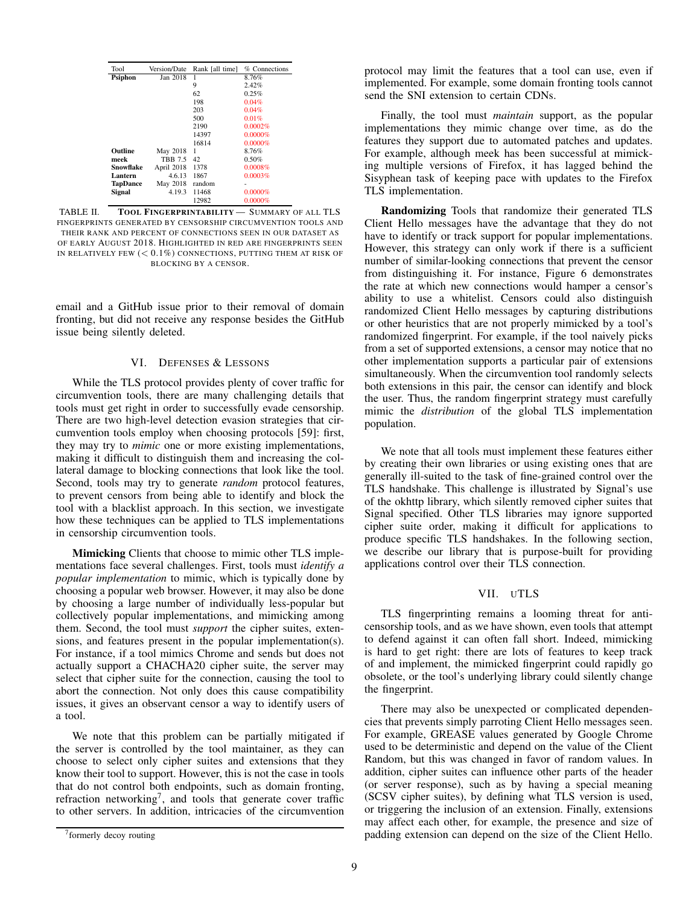| Tool            | Version/Date   | Rank [all time] | % Connections |
|-----------------|----------------|-----------------|---------------|
| Psiphon         | Jan 2018       |                 | 8.76%         |
|                 |                | 9               | 2.42%         |
|                 |                | 62              | 0.25%         |
|                 |                | 198             | 0.04%         |
|                 |                | 203             | 0.04%         |
|                 |                | 500             | 0.01%         |
|                 |                | 2190            | 0.0002%       |
|                 |                | 14397           | $0.0000\%$    |
|                 |                | 16814           | 0.0000%       |
| Outline         | May 2018       | 1               | 8.76%         |
| meek            | <b>TBB 7.5</b> | 42              | 0.50%         |
| Snowflake       | April 2018     | 1378            | 0.0008%       |
| Lantern         | 4.6.13         | 1867            | 0.0003%       |
| <b>TapDance</b> | May 2018       | random          |               |
| <b>Signal</b>   | 4.19.3         | 11468           | $0.0000\%$    |
|                 |                | 12982           | 0.0000%       |

TABLE II. TOOL FINGERPRINTABILITY — SUMMARY OF ALL TLS FINGERPRINTS GENERATED BY CENSORSHIP CIRCUMVENTION TOOLS AND THEIR RANK AND PERCENT OF CONNECTIONS SEEN IN OUR DATASET AS OF EARLY AUGUST 2018. HIGHLIGHTED IN RED ARE FINGERPRINTS SEEN IN RELATIVELY FEW  $( $0.1\%$ )$  CONNECTIONS, PUTTING THEM AT RISK OF BLOCKING BY A CENSOR.

email and a GitHub issue prior to their removal of domain fronting, but did not receive any response besides the GitHub issue being silently deleted.

# VI. DEFENSES & LESSONS

While the TLS protocol provides plenty of cover traffic for circumvention tools, there are many challenging details that tools must get right in order to successfully evade censorship. There are two high-level detection evasion strategies that circumvention tools employ when choosing protocols [59]: first, they may try to *mimic* one or more existing implementations, making it difficult to distinguish them and increasing the collateral damage to blocking connections that look like the tool. Second, tools may try to generate *random* protocol features, to prevent censors from being able to identify and block the tool with a blacklist approach. In this section, we investigate how these techniques can be applied to TLS implementations in censorship circumvention tools.

Mimicking Clients that choose to mimic other TLS implementations face several challenges. First, tools must *identify a popular implementation* to mimic, which is typically done by choosing a popular web browser. However, it may also be done by choosing a large number of individually less-popular but collectively popular implementations, and mimicking among them. Second, the tool must *support* the cipher suites, extensions, and features present in the popular implementation(s). For instance, if a tool mimics Chrome and sends but does not actually support a CHACHA20 cipher suite, the server may select that cipher suite for the connection, causing the tool to abort the connection. Not only does this cause compatibility issues, it gives an observant censor a way to identify users of a tool.

We note that this problem can be partially mitigated if the server is controlled by the tool maintainer, as they can choose to select only cipher suites and extensions that they know their tool to support. However, this is not the case in tools that do not control both endpoints, such as domain fronting, refraction networking<sup>7</sup>, and tools that generate cover traffic to other servers. In addition, intricacies of the circumvention protocol may limit the features that a tool can use, even if implemented. For example, some domain fronting tools cannot send the SNI extension to certain CDNs.

Finally, the tool must *maintain* support, as the popular implementations they mimic change over time, as do the features they support due to automated patches and updates. For example, although meek has been successful at mimicking multiple versions of Firefox, it has lagged behind the Sisyphean task of keeping pace with updates to the Firefox TLS implementation.

Randomizing Tools that randomize their generated TLS Client Hello messages have the advantage that they do not have to identify or track support for popular implementations. However, this strategy can only work if there is a sufficient number of similar-looking connections that prevent the censor from distinguishing it. For instance, Figure 6 demonstrates the rate at which new connections would hamper a censor's ability to use a whitelist. Censors could also distinguish randomized Client Hello messages by capturing distributions or other heuristics that are not properly mimicked by a tool's randomized fingerprint. For example, if the tool naively picks from a set of supported extensions, a censor may notice that no other implementation supports a particular pair of extensions simultaneously. When the circumvention tool randomly selects both extensions in this pair, the censor can identify and block the user. Thus, the random fingerprint strategy must carefully mimic the *distribution* of the global TLS implementation population.

We note that all tools must implement these features either by creating their own libraries or using existing ones that are generally ill-suited to the task of fine-grained control over the TLS handshake. This challenge is illustrated by Signal's use of the okhttp library, which silently removed cipher suites that Signal specified. Other TLS libraries may ignore supported cipher suite order, making it difficult for applications to produce specific TLS handshakes. In the following section, we describe our library that is purpose-built for providing applications control over their TLS connection.

## VII. UTLS

TLS fingerprinting remains a looming threat for anticensorship tools, and as we have shown, even tools that attempt to defend against it can often fall short. Indeed, mimicking is hard to get right: there are lots of features to keep track of and implement, the mimicked fingerprint could rapidly go obsolete, or the tool's underlying library could silently change the fingerprint.

There may also be unexpected or complicated dependencies that prevents simply parroting Client Hello messages seen. For example, GREASE values generated by Google Chrome used to be deterministic and depend on the value of the Client Random, but this was changed in favor of random values. In addition, cipher suites can influence other parts of the header (or server response), such as by having a special meaning (SCSV cipher suites), by defining what TLS version is used, or triggering the inclusion of an extension. Finally, extensions may affect each other, for example, the presence and size of padding extension can depend on the size of the Client Hello.

<sup>&</sup>lt;sup>7</sup> formerly decoy routing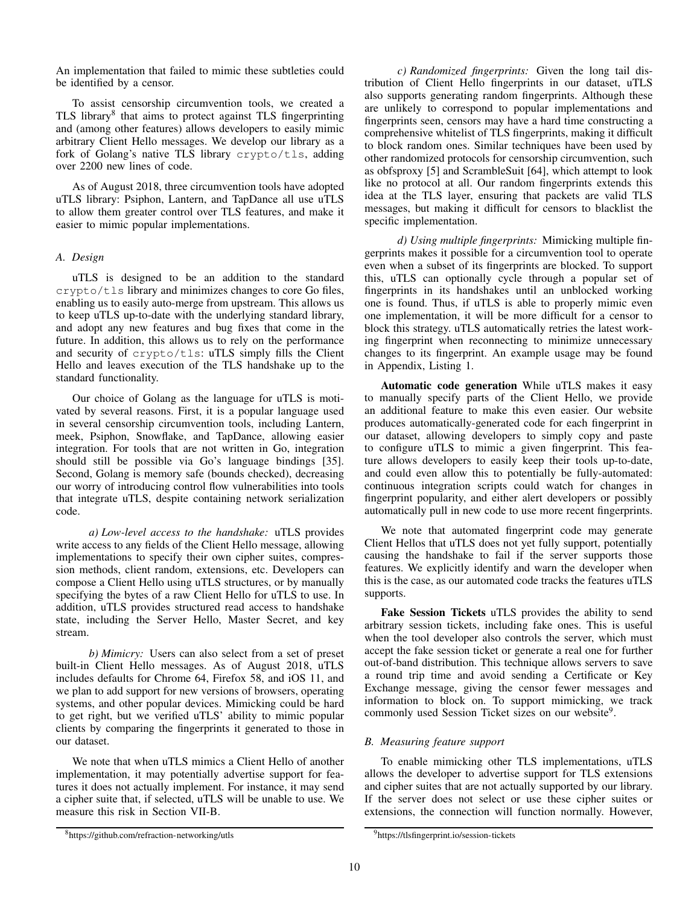An implementation that failed to mimic these subtleties could be identified by a censor.

To assist censorship circumvention tools, we created a TLS library<sup>8</sup> that aims to protect against TLS fingerprinting and (among other features) allows developers to easily mimic arbitrary Client Hello messages. We develop our library as a fork of Golang's native TLS library crypto/tls, adding over 2200 new lines of code.

As of August 2018, three circumvention tools have adopted uTLS library: Psiphon, Lantern, and TapDance all use uTLS to allow them greater control over TLS features, and make it easier to mimic popular implementations.

# *A. Design*

uTLS is designed to be an addition to the standard crypto/tls library and minimizes changes to core Go files, enabling us to easily auto-merge from upstream. This allows us to keep uTLS up-to-date with the underlying standard library, and adopt any new features and bug fixes that come in the future. In addition, this allows us to rely on the performance and security of crypto/tls: uTLS simply fills the Client Hello and leaves execution of the TLS handshake up to the standard functionality.

Our choice of Golang as the language for uTLS is motivated by several reasons. First, it is a popular language used in several censorship circumvention tools, including Lantern, meek, Psiphon, Snowflake, and TapDance, allowing easier integration. For tools that are not written in Go, integration should still be possible via Go's language bindings [35]. Second, Golang is memory safe (bounds checked), decreasing our worry of introducing control flow vulnerabilities into tools that integrate uTLS, despite containing network serialization code.

*a) Low-level access to the handshake:* uTLS provides write access to any fields of the Client Hello message, allowing implementations to specify their own cipher suites, compression methods, client random, extensions, etc. Developers can compose a Client Hello using uTLS structures, or by manually specifying the bytes of a raw Client Hello for uTLS to use. In addition, uTLS provides structured read access to handshake state, including the Server Hello, Master Secret, and key stream.

*b) Mimicry:* Users can also select from a set of preset built-in Client Hello messages. As of August 2018, uTLS includes defaults for Chrome 64, Firefox 58, and iOS 11, and we plan to add support for new versions of browsers, operating systems, and other popular devices. Mimicking could be hard to get right, but we verified uTLS' ability to mimic popular clients by comparing the fingerprints it generated to those in our dataset.

We note that when uTLS mimics a Client Hello of another implementation, it may potentially advertise support for features it does not actually implement. For instance, it may send a cipher suite that, if selected, uTLS will be unable to use. We measure this risk in Section VII-B.

*c) Randomized fingerprints:* Given the long tail distribution of Client Hello fingerprints in our dataset, uTLS also supports generating random fingerprints. Although these are unlikely to correspond to popular implementations and fingerprints seen, censors may have a hard time constructing a comprehensive whitelist of TLS fingerprints, making it difficult to block random ones. Similar techniques have been used by other randomized protocols for censorship circumvention, such as obfsproxy [5] and ScrambleSuit [64], which attempt to look like no protocol at all. Our random fingerprints extends this idea at the TLS layer, ensuring that packets are valid TLS messages, but making it difficult for censors to blacklist the specific implementation.

*d) Using multiple fingerprints:* Mimicking multiple fingerprints makes it possible for a circumvention tool to operate even when a subset of its fingerprints are blocked. To support this, uTLS can optionally cycle through a popular set of fingerprints in its handshakes until an unblocked working one is found. Thus, if uTLS is able to properly mimic even one implementation, it will be more difficult for a censor to block this strategy. uTLS automatically retries the latest working fingerprint when reconnecting to minimize unnecessary changes to its fingerprint. An example usage may be found in Appendix, Listing 1.

Automatic code generation While uTLS makes it easy to manually specify parts of the Client Hello, we provide an additional feature to make this even easier. Our website produces automatically-generated code for each fingerprint in our dataset, allowing developers to simply copy and paste to configure uTLS to mimic a given fingerprint. This feature allows developers to easily keep their tools up-to-date, and could even allow this to potentially be fully-automated: continuous integration scripts could watch for changes in fingerprint popularity, and either alert developers or possibly automatically pull in new code to use more recent fingerprints.

We note that automated fingerprint code may generate Client Hellos that uTLS does not yet fully support, potentially causing the handshake to fail if the server supports those features. We explicitly identify and warn the developer when this is the case, as our automated code tracks the features uTLS supports.

Fake Session Tickets uTLS provides the ability to send arbitrary session tickets, including fake ones. This is useful when the tool developer also controls the server, which must accept the fake session ticket or generate a real one for further out-of-band distribution. This technique allows servers to save a round trip time and avoid sending a Certificate or Key Exchange message, giving the censor fewer messages and information to block on. To support mimicking, we track commonly used Session Ticket sizes on our website<sup>9</sup>.

# *B. Measuring feature support*

To enable mimicking other TLS implementations, uTLS allows the developer to advertise support for TLS extensions and cipher suites that are not actually supported by our library. If the server does not select or use these cipher suites or extensions, the connection will function normally. However,

<sup>8</sup>https://github.com/refraction-networking/utls

<sup>9</sup>https://tlsfingerprint.io/session-tickets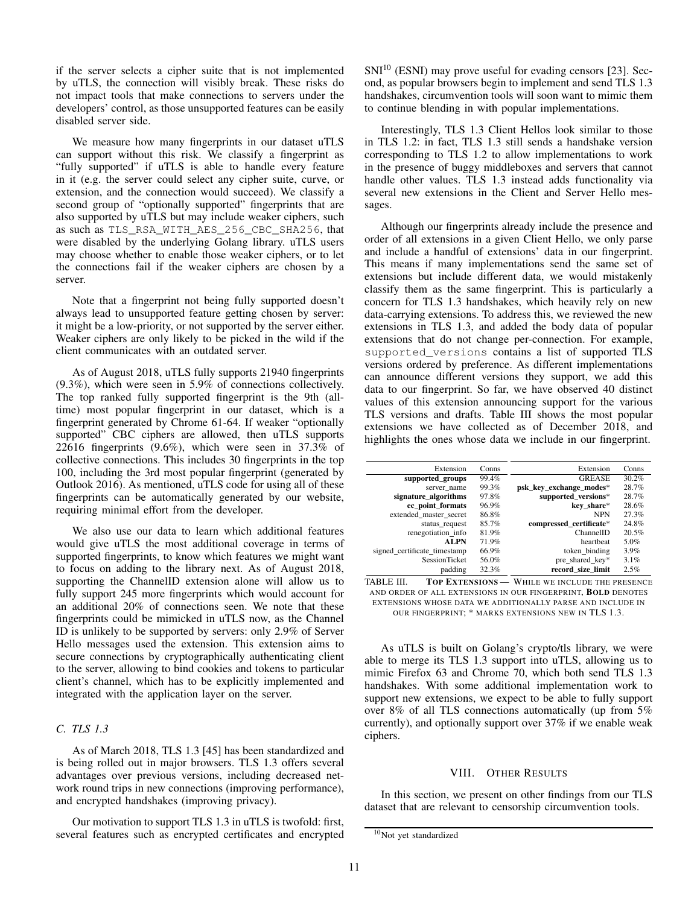if the server selects a cipher suite that is not implemented by uTLS, the connection will visibly break. These risks do not impact tools that make connections to servers under the developers' control, as those unsupported features can be easily disabled server side.

We measure how many fingerprints in our dataset uTLS can support without this risk. We classify a fingerprint as "fully supported" if uTLS is able to handle every feature in it (e.g. the server could select any cipher suite, curve, or extension, and the connection would succeed). We classify a second group of "optionally supported" fingerprints that are also supported by uTLS but may include weaker ciphers, such as such as TLS\_RSA\_WITH\_AES\_256\_CBC\_SHA256, that were disabled by the underlying Golang library. uTLS users may choose whether to enable those weaker ciphers, or to let the connections fail if the weaker ciphers are chosen by a server.

Note that a fingerprint not being fully supported doesn't always lead to unsupported feature getting chosen by server: it might be a low-priority, or not supported by the server either. Weaker ciphers are only likely to be picked in the wild if the client communicates with an outdated server.

As of August 2018, uTLS fully supports 21940 fingerprints (9.3%), which were seen in 5.9% of connections collectively. The top ranked fully supported fingerprint is the 9th (alltime) most popular fingerprint in our dataset, which is a fingerprint generated by Chrome 61-64. If weaker "optionally supported" CBC ciphers are allowed, then uTLS supports 22616 fingerprints (9.6%), which were seen in 37.3% of collective connections. This includes 30 fingerprints in the top 100, including the 3rd most popular fingerprint (generated by Outlook 2016). As mentioned, uTLS code for using all of these fingerprints can be automatically generated by our website, requiring minimal effort from the developer.

We also use our data to learn which additional features would give uTLS the most additional coverage in terms of supported fingerprints, to know which features we might want to focus on adding to the library next. As of August 2018, supporting the ChannelID extension alone will allow us to fully support 245 more fingerprints which would account for an additional 20% of connections seen. We note that these fingerprints could be mimicked in uTLS now, as the Channel ID is unlikely to be supported by servers: only 2.9% of Server Hello messages used the extension. This extension aims to secure connections by cryptographically authenticating client to the server, allowing to bind cookies and tokens to particular client's channel, which has to be explicitly implemented and integrated with the application layer on the server.

# *C. TLS 1.3*

As of March 2018, TLS 1.3 [45] has been standardized and is being rolled out in major browsers. TLS 1.3 offers several advantages over previous versions, including decreased network round trips in new connections (improving performance), and encrypted handshakes (improving privacy).

Our motivation to support TLS 1.3 in uTLS is twofold: first, several features such as encrypted certificates and encrypted  $SNI<sup>10</sup>$  (ESNI) may prove useful for evading censors [23]. Second, as popular browsers begin to implement and send TLS 1.3 handshakes, circumvention tools will soon want to mimic them to continue blending in with popular implementations.

Interestingly, TLS 1.3 Client Hellos look similar to those in TLS 1.2: in fact, TLS 1.3 still sends a handshake version corresponding to TLS 1.2 to allow implementations to work in the presence of buggy middleboxes and servers that cannot handle other values. TLS 1.3 instead adds functionality via several new extensions in the Client and Server Hello messages.

Although our fingerprints already include the presence and order of all extensions in a given Client Hello, we only parse and include a handful of extensions' data in our fingerprint. This means if many implementations send the same set of extensions but include different data, we would mistakenly classify them as the same fingerprint. This is particularly a concern for TLS 1.3 handshakes, which heavily rely on new data-carrying extensions. To address this, we reviewed the new extensions in TLS 1.3, and added the body data of popular extensions that do not change per-connection. For example, supported\_versions contains a list of supported TLS versions ordered by preference. As different implementations can announce different versions they support, we add this data to our fingerprint. So far, we have observed 40 distinct values of this extension announcing support for the various TLS versions and drafts. Table III shows the most popular extensions we have collected as of December 2018, and highlights the ones whose data we include in our fingerprint.

| Extension                    | Conns | Extension               | Conns   |
|------------------------------|-------|-------------------------|---------|
| supported groups             | 99.4% | <b>GREASE</b>           | 30.2%   |
| server_name                  | 99.3% | psk key exchange modes* | 28.7%   |
| signature_algorithms         | 97.8% | supported_versions*     | 28.7%   |
| ec point formats             | 96.9% | key share*              | 28.6%   |
| extended master secret       | 86.8% | <b>NPN</b>              | 27.3%   |
| status_request               | 85.7% | compressed certificate* | 24.8%   |
| renegotiation info           | 81.9% | ChannelID               | 20.5%   |
| <b>ALPN</b>                  | 71.9% | heartheat               | 5.0%    |
| signed certificate timestamp | 66.9% | token binding           | $3.9\%$ |
| <b>SessionTicket</b>         | 56.0% | pre_shared_key*         | 3.1%    |
| padding                      | 32.3% | record size limit       | 2.5%    |

TABLE III. TOP EXTENSIONS — WHILE WE INCLUDE THE PRESENCE AND ORDER OF ALL EXTENSIONS IN OUR FINGERPRINT, BOLD DENOTES EXTENSIONS WHOSE DATA WE ADDITIONALLY PARSE AND INCLUDE IN OUR FINGERPRINT; \* MARKS EXTENSIONS NEW IN TLS 1.3.

As uTLS is built on Golang's crypto/tls library, we were able to merge its TLS 1.3 support into uTLS, allowing us to mimic Firefox 63 and Chrome 70, which both send TLS 1.3 handshakes. With some additional implementation work to support new extensions, we expect to be able to fully support over 8% of all TLS connections automatically (up from 5% currently), and optionally support over 37% if we enable weak ciphers.

### VIII. OTHER RESULTS

In this section, we present on other findings from our TLS dataset that are relevant to censorship circumvention tools.

<sup>&</sup>lt;sup>10</sup>Not yet standardized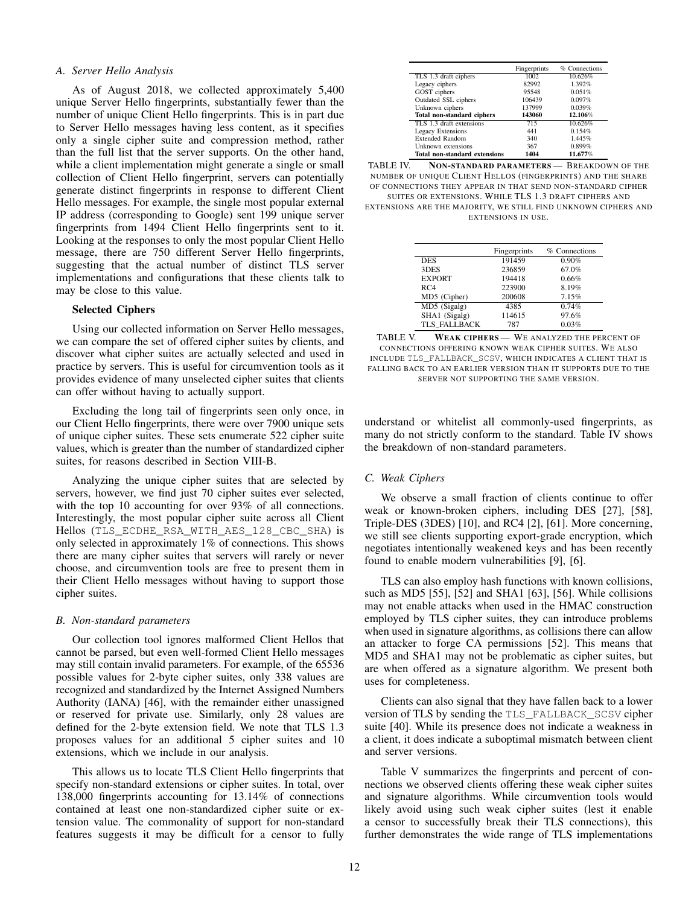#### *A. Server Hello Analysis*

As of August 2018, we collected approximately 5,400 unique Server Hello fingerprints, substantially fewer than the number of unique Client Hello fingerprints. This is in part due to Server Hello messages having less content, as it specifies only a single cipher suite and compression method, rather than the full list that the server supports. On the other hand, while a client implementation might generate a single or small collection of Client Hello fingerprint, servers can potentially generate distinct fingerprints in response to different Client Hello messages. For example, the single most popular external IP address (corresponding to Google) sent 199 unique server fingerprints from 1494 Client Hello fingerprints sent to it. Looking at the responses to only the most popular Client Hello message, there are 750 different Server Hello fingerprints, suggesting that the actual number of distinct TLS server implementations and configurations that these clients talk to may be close to this value.

#### Selected Ciphers

Using our collected information on Server Hello messages, we can compare the set of offered cipher suites by clients, and discover what cipher suites are actually selected and used in practice by servers. This is useful for circumvention tools as it provides evidence of many unselected cipher suites that clients can offer without having to actually support.

Excluding the long tail of fingerprints seen only once, in our Client Hello fingerprints, there were over 7900 unique sets of unique cipher suites. These sets enumerate 522 cipher suite values, which is greater than the number of standardized cipher suites, for reasons described in Section VIII-B.

Analyzing the unique cipher suites that are selected by servers, however, we find just 70 cipher suites ever selected, with the top 10 accounting for over 93% of all connections. Interestingly, the most popular cipher suite across all Client Hellos (TLS\_ECDHE\_RSA\_WITH\_AES\_128\_CBC\_SHA) is only selected in approximately 1% of connections. This shows there are many cipher suites that servers will rarely or never choose, and circumvention tools are free to present them in their Client Hello messages without having to support those cipher suites.

## *B. Non-standard parameters*

Our collection tool ignores malformed Client Hellos that cannot be parsed, but even well-formed Client Hello messages may still contain invalid parameters. For example, of the 65536 possible values for 2-byte cipher suites, only 338 values are recognized and standardized by the Internet Assigned Numbers Authority (IANA) [46], with the remainder either unassigned or reserved for private use. Similarly, only 28 values are defined for the 2-byte extension field. We note that TLS 1.3 proposes values for an additional 5 cipher suites and 10 extensions, which we include in our analysis.

This allows us to locate TLS Client Hello fingerprints that specify non-standard extensions or cipher suites. In total, over 138,000 fingerprints accounting for 13.14% of connections contained at least one non-standardized cipher suite or extension value. The commonality of support for non-standard features suggests it may be difficult for a censor to fully

|                                      | Fingerprints | % Connections |
|--------------------------------------|--------------|---------------|
| TLS 1.3 draft ciphers                | 1002         | 10.626%       |
| Legacy ciphers                       | 82992        | 1.392%        |
| GOST ciphers                         | 95548        | 0.051%        |
| Outdated SSL ciphers                 | 106439       | 0.097%        |
| Unknown ciphers                      | 137999       | 0.039%        |
| <b>Total non-standard ciphers</b>    | 143060       | 12.106%       |
| TLS 1.3 draft extensions             | 715          | 10.626%       |
| Legacy Extensions                    | 441          | 0.154%        |
| <b>Extended Random</b>               | 340          | 1.445%        |
| Unknown extensions                   | 367          | 0.899%        |
| <b>Total non-standard extensions</b> | 1404         | 11.677%       |

TABLE IV. NON-STANDARD PARAMETERS - BREAKDOWN OF THE NUMBER OF UNIQUE CLIENT HELLOS (FINGERPRINTS) AND THE SHARE OF CONNECTIONS THEY APPEAR IN THAT SEND NON-STANDARD CIPHER SUITES OR EXTENSIONS. WHILE TLS 1.3 DRAFT CIPHERS AND EXTENSIONS ARE THE MAJORITY, WE STILL FIND UNKNOWN CIPHERS AND EXTENSIONS IN USE.

|               | Fingerprints | % Connections |
|---------------|--------------|---------------|
| <b>DES</b>    | 191459       | 0.90%         |
| 3DES          | 236859       | 67.0%         |
| <b>EXPORT</b> | 194418       | 0.66%         |
| RC4           | 223900       | 8.19%         |
| MD5 (Cipher)  | 200608       | 7.15%         |
| MD5 (Sigalg)  | 4385         | 0.74%         |
| SHA1 (Sigalg) | 114615       | 97.6%         |
| TLS FALLBACK  | 787          | 0.03%         |
|               |              |               |

TABLE V. WEAK CIPHERS - WE ANALYZED THE PERCENT OF CONNECTIONS OFFERING KNOWN WEAK CIPHER SUITES. WE ALSO INCLUDE TLS\_FALLBACK\_SCSV, WHICH INDICATES A CLIENT THAT IS FALLING BACK TO AN EARLIER VERSION THAN IT SUPPORTS DUE TO THE SERVER NOT SUPPORTING THE SAME VERSION.

understand or whitelist all commonly-used fingerprints, as many do not strictly conform to the standard. Table IV shows the breakdown of non-standard parameters.

# *C. Weak Ciphers*

We observe a small fraction of clients continue to offer weak or known-broken ciphers, including DES [27], [58], Triple-DES (3DES) [10], and RC4 [2], [61]. More concerning, we still see clients supporting export-grade encryption, which negotiates intentionally weakened keys and has been recently found to enable modern vulnerabilities [9], [6].

TLS can also employ hash functions with known collisions, such as MD5 [55], [52] and SHA1 [63], [56]. While collisions may not enable attacks when used in the HMAC construction employed by TLS cipher suites, they can introduce problems when used in signature algorithms, as collisions there can allow an attacker to forge CA permissions [52]. This means that MD5 and SHA1 may not be problematic as cipher suites, but are when offered as a signature algorithm. We present both uses for completeness.

Clients can also signal that they have fallen back to a lower version of TLS by sending the TLS\_FALLBACK\_SCSV cipher suite [40]. While its presence does not indicate a weakness in a client, it does indicate a suboptimal mismatch between client and server versions.

Table V summarizes the fingerprints and percent of connections we observed clients offering these weak cipher suites and signature algorithms. While circumvention tools would likely avoid using such weak cipher suites (lest it enable a censor to successfully break their TLS connections), this further demonstrates the wide range of TLS implementations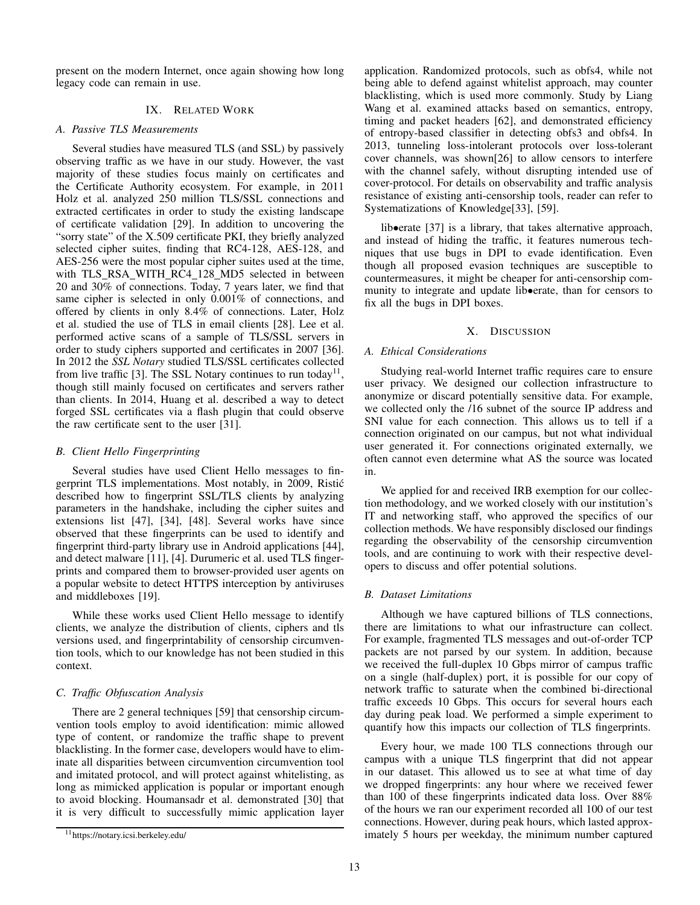present on the modern Internet, once again showing how long legacy code can remain in use.

# IX. RELATED WORK

## *A. Passive TLS Measurements*

Several studies have measured TLS (and SSL) by passively observing traffic as we have in our study. However, the vast majority of these studies focus mainly on certificates and the Certificate Authority ecosystem. For example, in 2011 Holz et al. analyzed 250 million TLS/SSL connections and extracted certificates in order to study the existing landscape of certificate validation [29]. In addition to uncovering the "sorry state" of the X.509 certificate PKI, they briefly analyzed selected cipher suites, finding that RC4-128, AES-128, and AES-256 were the most popular cipher suites used at the time, with TLS RSA WITH RC4 128 MD5 selected in between 20 and 30% of connections. Today, 7 years later, we find that same cipher is selected in only 0.001% of connections, and offered by clients in only 8.4% of connections. Later, Holz et al. studied the use of TLS in email clients [28]. Lee et al. performed active scans of a sample of TLS/SSL servers in order to study ciphers supported and certificates in 2007 [36]. In 2012 the *SSL Notary* studied TLS/SSL certificates collected from live traffic [3]. The SSL Notary continues to run today<sup>11</sup>, though still mainly focused on certificates and servers rather than clients. In 2014, Huang et al. described a way to detect forged SSL certificates via a flash plugin that could observe the raw certificate sent to the user [31].

## *B. Client Hello Fingerprinting*

Several studies have used Client Hello messages to fingerprint TLS implementations. Most notably, in 2009, Ristic´ described how to fingerprint SSL/TLS clients by analyzing parameters in the handshake, including the cipher suites and extensions list [47], [34], [48]. Several works have since observed that these fingerprints can be used to identify and fingerprint third-party library use in Android applications [44], and detect malware [11], [4]. Durumeric et al. used TLS fingerprints and compared them to browser-provided user agents on a popular website to detect HTTPS interception by antiviruses and middleboxes [19].

While these works used Client Hello message to identify clients, we analyze the distribution of clients, ciphers and tls versions used, and fingerprintability of censorship circumvention tools, which to our knowledge has not been studied in this context.

## *C. Traffic Obfuscation Analysis*

There are 2 general techniques [59] that censorship circumvention tools employ to avoid identification: mimic allowed type of content, or randomize the traffic shape to prevent blacklisting. In the former case, developers would have to eliminate all disparities between circumvention circumvention tool and imitated protocol, and will protect against whitelisting, as long as mimicked application is popular or important enough to avoid blocking. Houmansadr et al. demonstrated [30] that it is very difficult to successfully mimic application layer application. Randomized protocols, such as obfs4, while not being able to defend against whitelist approach, may counter blacklisting, which is used more commonly. Study by Liang Wang et al. examined attacks based on semantics, entropy, timing and packet headers [62], and demonstrated efficiency of entropy-based classifier in detecting obfs3 and obfs4. In 2013, tunneling loss-intolerant protocols over loss-tolerant cover channels, was shown[26] to allow censors to interfere with the channel safely, without disrupting intended use of cover-protocol. For details on observability and traffic analysis resistance of existing anti-censorship tools, reader can refer to Systematizations of Knowledge[33], [59].

lib•erate [37] is a library, that takes alternative approach, and instead of hiding the traffic, it features numerous techniques that use bugs in DPI to evade identification. Even though all proposed evasion techniques are susceptible to countermeasures, it might be cheaper for anti-censorship community to integrate and update lib•erate, than for censors to fix all the bugs in DPI boxes.

#### X. DISCUSSION

## *A. Ethical Considerations*

Studying real-world Internet traffic requires care to ensure user privacy. We designed our collection infrastructure to anonymize or discard potentially sensitive data. For example, we collected only the /16 subnet of the source IP address and SNI value for each connection. This allows us to tell if a connection originated on our campus, but not what individual user generated it. For connections originated externally, we often cannot even determine what AS the source was located in.

We applied for and received IRB exemption for our collection methodology, and we worked closely with our institution's IT and networking staff, who approved the specifics of our collection methods. We have responsibly disclosed our findings regarding the observability of the censorship circumvention tools, and are continuing to work with their respective developers to discuss and offer potential solutions.

#### *B. Dataset Limitations*

Although we have captured billions of TLS connections, there are limitations to what our infrastructure can collect. For example, fragmented TLS messages and out-of-order TCP packets are not parsed by our system. In addition, because we received the full-duplex 10 Gbps mirror of campus traffic on a single (half-duplex) port, it is possible for our copy of network traffic to saturate when the combined bi-directional traffic exceeds 10 Gbps. This occurs for several hours each day during peak load. We performed a simple experiment to quantify how this impacts our collection of TLS fingerprints.

Every hour, we made 100 TLS connections through our campus with a unique TLS fingerprint that did not appear in our dataset. This allowed us to see at what time of day we dropped fingerprints: any hour where we received fewer than 100 of these fingerprints indicated data loss. Over 88% of the hours we ran our experiment recorded all 100 of our test connections. However, during peak hours, which lasted approximately 5 hours per weekday, the minimum number captured

<sup>11</sup>https://notary.icsi.berkeley.edu/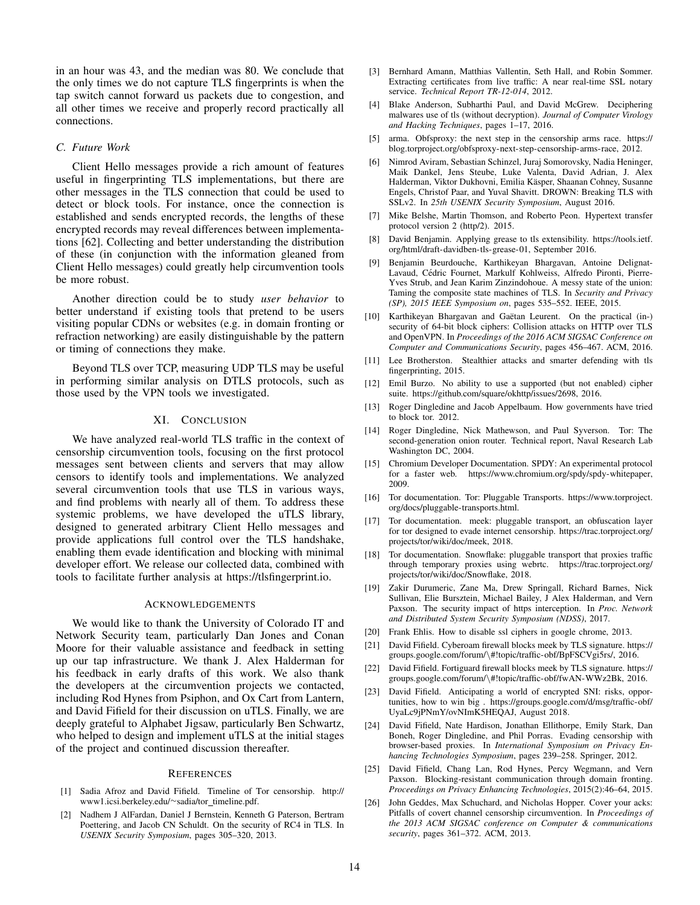in an hour was 43, and the median was 80. We conclude that the only times we do not capture TLS fingerprints is when the tap switch cannot forward us packets due to congestion, and all other times we receive and properly record practically all connections.

#### *C. Future Work*

Client Hello messages provide a rich amount of features useful in fingerprinting TLS implementations, but there are other messages in the TLS connection that could be used to detect or block tools. For instance, once the connection is established and sends encrypted records, the lengths of these encrypted records may reveal differences between implementations [62]. Collecting and better understanding the distribution of these (in conjunction with the information gleaned from Client Hello messages) could greatly help circumvention tools be more robust.

Another direction could be to study *user behavior* to better understand if existing tools that pretend to be users visiting popular CDNs or websites (e.g. in domain fronting or refraction networking) are easily distinguishable by the pattern or timing of connections they make.

Beyond TLS over TCP, measuring UDP TLS may be useful in performing similar analysis on DTLS protocols, such as those used by the VPN tools we investigated.

## XI. CONCLUSION

We have analyzed real-world TLS traffic in the context of censorship circumvention tools, focusing on the first protocol messages sent between clients and servers that may allow censors to identify tools and implementations. We analyzed several circumvention tools that use TLS in various ways, and find problems with nearly all of them. To address these systemic problems, we have developed the uTLS library, designed to generated arbitrary Client Hello messages and provide applications full control over the TLS handshake, enabling them evade identification and blocking with minimal developer effort. We release our collected data, combined with tools to facilitate further analysis at https://tlsfingerprint.io.

## ACKNOWLEDGEMENTS

We would like to thank the University of Colorado IT and Network Security team, particularly Dan Jones and Conan Moore for their valuable assistance and feedback in setting up our tap infrastructure. We thank J. Alex Halderman for his feedback in early drafts of this work. We also thank the developers at the circumvention projects we contacted, including Rod Hynes from Psiphon, and Ox Cart from Lantern, and David Fifield for their discussion on uTLS. Finally, we are deeply grateful to Alphabet Jigsaw, particularly Ben Schwartz, who helped to design and implement uTLS at the initial stages of the project and continued discussion thereafter.

#### **REFERENCES**

- [1] Sadia Afroz and David Fifield. Timeline of Tor censorship. http:// www1.icsi.berkeley.edu/~sadia/tor\_timeline.pdf.
- [2] Nadhem J AlFardan, Daniel J Bernstein, Kenneth G Paterson, Bertram Poettering, and Jacob CN Schuldt. On the security of RC4 in TLS. In *USENIX Security Symposium*, pages 305–320, 2013.
- [3] Bernhard Amann, Matthias Vallentin, Seth Hall, and Robin Sommer. Extracting certificates from live traffic: A near real-time SSL notary service. *Technical Report TR-12-014*, 2012.
- [4] Blake Anderson, Subharthi Paul, and David McGrew. Deciphering malwares use of tls (without decryption). *Journal of Computer Virology and Hacking Techniques*, pages 1–17, 2016.
- [5] arma. Obfsproxy: the next step in the censorship arms race. https:// blog.torproject.org/obfsproxy-next-step-censorship-arms-race, 2012.
- [6] Nimrod Aviram, Sebastian Schinzel, Juraj Somorovsky, Nadia Heninger, Maik Dankel, Jens Steube, Luke Valenta, David Adrian, J. Alex Halderman, Viktor Dukhovni, Emilia Käsper, Shaanan Cohney, Susanne Engels, Christof Paar, and Yuval Shavitt. DROWN: Breaking TLS with SSLv2. In *25th USENIX Security Symposium*, August 2016.
- [7] Mike Belshe, Martin Thomson, and Roberto Peon. Hypertext transfer protocol version 2 (http/2). 2015.
- [8] David Benjamin. Applying grease to tls extensibility. https://tools.ietf. org/html/draft-davidben-tls-grease-01, September 2016.
- [9] Benjamin Beurdouche, Karthikeyan Bhargavan, Antoine Delignat-Lavaud, Cédric Fournet, Markulf Kohlweiss, Alfredo Pironti, Pierre-Yves Strub, and Jean Karim Zinzindohoue. A messy state of the union: Taming the composite state machines of TLS. In *Security and Privacy (SP), 2015 IEEE Symposium on*, pages 535–552. IEEE, 2015.
- [10] Karthikeyan Bhargavan and Gaëtan Leurent. On the practical (in-) security of 64-bit block ciphers: Collision attacks on HTTP over TLS and OpenVPN. In *Proceedings of the 2016 ACM SIGSAC Conference on Computer and Communications Security*, pages 456–467. ACM, 2016.
- [11] Lee Brotherston. Stealthier attacks and smarter defending with tls fingerprinting, 2015.
- [12] Emil Burzo. No ability to use a supported (but not enabled) cipher suite. https://github.com/square/okhttp/issues/2698, 2016.
- [13] Roger Dingledine and Jacob Appelbaum. How governments have tried to block tor. 2012.
- [14] Roger Dingledine, Nick Mathewson, and Paul Syverson. Tor: The second-generation onion router. Technical report, Naval Research Lab Washington DC, 2004.
- [15] Chromium Developer Documentation. SPDY: An experimental protocol for a faster web. https://www.chromium.org/spdy/spdy-whitepaper, 2009.
- [16] Tor documentation. Tor: Pluggable Transports. https://www.torproject. org/docs/pluggable-transports.html.
- [17] Tor documentation. meek: pluggable transport, an obfuscation layer for tor designed to evade internet censorship. https://trac.torproject.org/ projects/tor/wiki/doc/meek, 2018.
- [18] Tor documentation. Snowflake: pluggable transport that proxies traffic through temporary proxies using webrtc. https://trac.torproject.org/ projects/tor/wiki/doc/Snowflake, 2018.
- [19] Zakir Durumeric, Zane Ma, Drew Springall, Richard Barnes, Nick Sullivan, Elie Bursztein, Michael Bailey, J Alex Halderman, and Vern Paxson. The security impact of https interception. In *Proc. Network and Distributed System Security Symposium (NDSS)*, 2017.
- [20] Frank Ehlis. How to disable ssl ciphers in google chrome, 2013.
- [21] David Fifield. Cyberoam firewall blocks meek by TLS signature. https:// groups.google.com/forum/\#!topic/traffic-obf/BpFSCVgi5rs/, 2016.
- [22] David Fifield. Fortiguard firewall blocks meek by TLS signature. https:// groups.google.com/forum/\#!topic/traffic-obf/fwAN-WWz2Bk, 2016.
- [23] David Fifield. Anticipating a world of encrypted SNI: risks, opportunities, how to win big . https://groups.google.com/d/msg/traffic-obf/ UyaLc9jPNmY/ovNImK5HEQAJ, August 2018.
- [24] David Fifield, Nate Hardison, Jonathan Ellithorpe, Emily Stark, Dan Boneh, Roger Dingledine, and Phil Porras. Evading censorship with browser-based proxies. In *International Symposium on Privacy Enhancing Technologies Symposium*, pages 239–258. Springer, 2012.
- [25] David Fifield, Chang Lan, Rod Hynes, Percy Wegmann, and Vern Paxson. Blocking-resistant communication through domain fronting. *Proceedings on Privacy Enhancing Technologies*, 2015(2):46–64, 2015.
- [26] John Geddes, Max Schuchard, and Nicholas Hopper. Cover your acks: Pitfalls of covert channel censorship circumvention. In *Proceedings of the 2013 ACM SIGSAC conference on Computer & communications security*, pages 361–372. ACM, 2013.